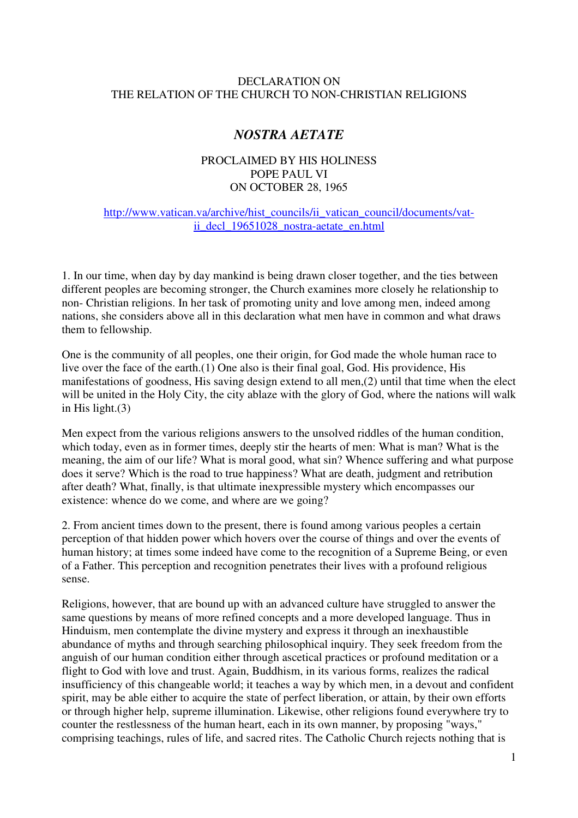## DECLARATION ON THE RELATION OF THE CHURCH TO NON-CHRISTIAN RELIGIONS

# *NOSTRA AETATE*

## PROCLAIMED BY HIS HOLINESS POPE PAUL VI ON OCTOBER 28, 1965

### http://www.vatican.va/archive/hist\_councils/ii\_vatican\_council/documents/vatii decl 19651028 nostra-aetate en.html

1. In our time, when day by day mankind is being drawn closer together, and the ties between different peoples are becoming stronger, the Church examines more closely he relationship to non- Christian religions. In her task of promoting unity and love among men, indeed among nations, she considers above all in this declaration what men have in common and what draws them to fellowship.

One is the community of all peoples, one their origin, for God made the whole human race to live over the face of the earth.(1) One also is their final goal, God. His providence, His manifestations of goodness, His saving design extend to all men,(2) until that time when the elect will be united in the Holy City, the city ablaze with the glory of God, where the nations will walk in His light.(3)

Men expect from the various religions answers to the unsolved riddles of the human condition, which today, even as in former times, deeply stir the hearts of men: What is man? What is the meaning, the aim of our life? What is moral good, what sin? Whence suffering and what purpose does it serve? Which is the road to true happiness? What are death, judgment and retribution after death? What, finally, is that ultimate inexpressible mystery which encompasses our existence: whence do we come, and where are we going?

2. From ancient times down to the present, there is found among various peoples a certain perception of that hidden power which hovers over the course of things and over the events of human history; at times some indeed have come to the recognition of a Supreme Being, or even of a Father. This perception and recognition penetrates their lives with a profound religious sense.

Religions, however, that are bound up with an advanced culture have struggled to answer the same questions by means of more refined concepts and a more developed language. Thus in Hinduism, men contemplate the divine mystery and express it through an inexhaustible abundance of myths and through searching philosophical inquiry. They seek freedom from the anguish of our human condition either through ascetical practices or profound meditation or a flight to God with love and trust. Again, Buddhism, in its various forms, realizes the radical insufficiency of this changeable world; it teaches a way by which men, in a devout and confident spirit, may be able either to acquire the state of perfect liberation, or attain, by their own efforts or through higher help, supreme illumination. Likewise, other religions found everywhere try to counter the restlessness of the human heart, each in its own manner, by proposing "ways," comprising teachings, rules of life, and sacred rites. The Catholic Church rejects nothing that is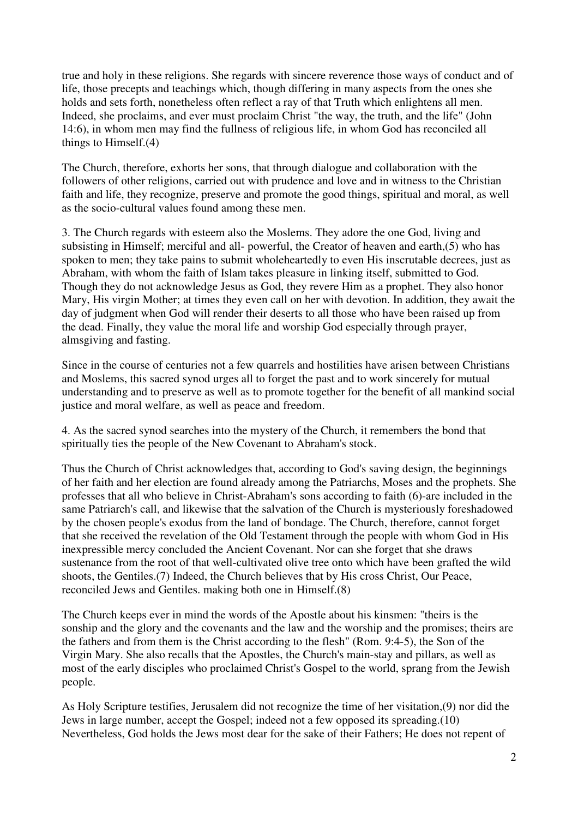true and holy in these religions. She regards with sincere reverence those ways of conduct and of life, those precepts and teachings which, though differing in many aspects from the ones she holds and sets forth, nonetheless often reflect a ray of that Truth which enlightens all men. Indeed, she proclaims, and ever must proclaim Christ "the way, the truth, and the life" (John 14:6), in whom men may find the fullness of religious life, in whom God has reconciled all things to Himself.(4)

The Church, therefore, exhorts her sons, that through dialogue and collaboration with the followers of other religions, carried out with prudence and love and in witness to the Christian faith and life, they recognize, preserve and promote the good things, spiritual and moral, as well as the socio-cultural values found among these men.

3. The Church regards with esteem also the Moslems. They adore the one God, living and subsisting in Himself; merciful and all- powerful, the Creator of heaven and earth,(5) who has spoken to men; they take pains to submit wholeheartedly to even His inscrutable decrees, just as Abraham, with whom the faith of Islam takes pleasure in linking itself, submitted to God. Though they do not acknowledge Jesus as God, they revere Him as a prophet. They also honor Mary, His virgin Mother; at times they even call on her with devotion. In addition, they await the day of judgment when God will render their deserts to all those who have been raised up from the dead. Finally, they value the moral life and worship God especially through prayer, almsgiving and fasting.

Since in the course of centuries not a few quarrels and hostilities have arisen between Christians and Moslems, this sacred synod urges all to forget the past and to work sincerely for mutual understanding and to preserve as well as to promote together for the benefit of all mankind social justice and moral welfare, as well as peace and freedom.

4. As the sacred synod searches into the mystery of the Church, it remembers the bond that spiritually ties the people of the New Covenant to Abraham's stock.

Thus the Church of Christ acknowledges that, according to God's saving design, the beginnings of her faith and her election are found already among the Patriarchs, Moses and the prophets. She professes that all who believe in Christ-Abraham's sons according to faith (6)-are included in the same Patriarch's call, and likewise that the salvation of the Church is mysteriously foreshadowed by the chosen people's exodus from the land of bondage. The Church, therefore, cannot forget that she received the revelation of the Old Testament through the people with whom God in His inexpressible mercy concluded the Ancient Covenant. Nor can she forget that she draws sustenance from the root of that well-cultivated olive tree onto which have been grafted the wild shoots, the Gentiles.(7) Indeed, the Church believes that by His cross Christ, Our Peace, reconciled Jews and Gentiles. making both one in Himself.(8)

The Church keeps ever in mind the words of the Apostle about his kinsmen: "theirs is the sonship and the glory and the covenants and the law and the worship and the promises; theirs are the fathers and from them is the Christ according to the flesh" (Rom. 9:4-5), the Son of the Virgin Mary. She also recalls that the Apostles, the Church's main-stay and pillars, as well as most of the early disciples who proclaimed Christ's Gospel to the world, sprang from the Jewish people.

As Holy Scripture testifies, Jerusalem did not recognize the time of her visitation,(9) nor did the Jews in large number, accept the Gospel; indeed not a few opposed its spreading.(10) Nevertheless, God holds the Jews most dear for the sake of their Fathers; He does not repent of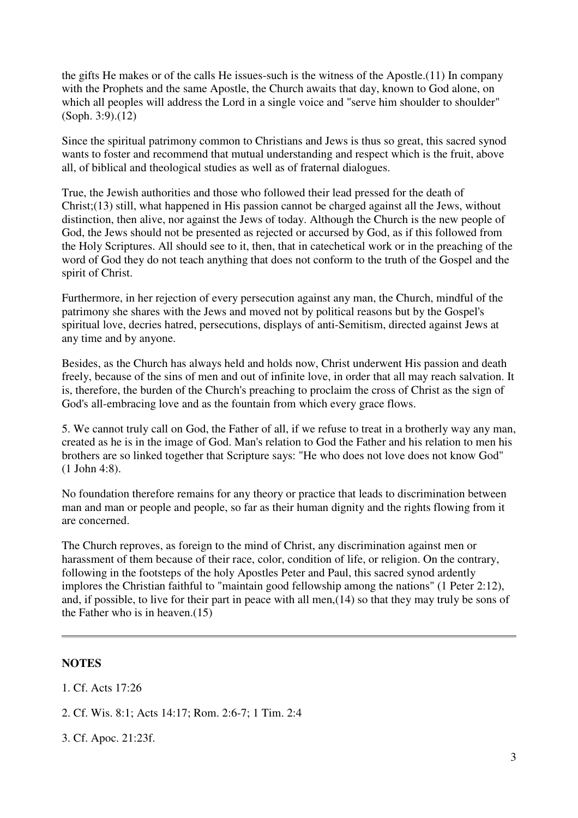the gifts He makes or of the calls He issues-such is the witness of the Apostle.(11) In company with the Prophets and the same Apostle, the Church awaits that day, known to God alone, on which all peoples will address the Lord in a single voice and "serve him shoulder to shoulder" (Soph. 3:9).(12)

Since the spiritual patrimony common to Christians and Jews is thus so great, this sacred synod wants to foster and recommend that mutual understanding and respect which is the fruit, above all, of biblical and theological studies as well as of fraternal dialogues.

True, the Jewish authorities and those who followed their lead pressed for the death of Christ;(13) still, what happened in His passion cannot be charged against all the Jews, without distinction, then alive, nor against the Jews of today. Although the Church is the new people of God, the Jews should not be presented as rejected or accursed by God, as if this followed from the Holy Scriptures. All should see to it, then, that in catechetical work or in the preaching of the word of God they do not teach anything that does not conform to the truth of the Gospel and the spirit of Christ.

Furthermore, in her rejection of every persecution against any man, the Church, mindful of the patrimony she shares with the Jews and moved not by political reasons but by the Gospel's spiritual love, decries hatred, persecutions, displays of anti-Semitism, directed against Jews at any time and by anyone.

Besides, as the Church has always held and holds now, Christ underwent His passion and death freely, because of the sins of men and out of infinite love, in order that all may reach salvation. It is, therefore, the burden of the Church's preaching to proclaim the cross of Christ as the sign of God's all-embracing love and as the fountain from which every grace flows.

5. We cannot truly call on God, the Father of all, if we refuse to treat in a brotherly way any man, created as he is in the image of God. Man's relation to God the Father and his relation to men his brothers are so linked together that Scripture says: "He who does not love does not know God" (1 John 4:8).

No foundation therefore remains for any theory or practice that leads to discrimination between man and man or people and people, so far as their human dignity and the rights flowing from it are concerned.

The Church reproves, as foreign to the mind of Christ, any discrimination against men or harassment of them because of their race, color, condition of life, or religion. On the contrary, following in the footsteps of the holy Apostles Peter and Paul, this sacred synod ardently implores the Christian faithful to "maintain good fellowship among the nations" (1 Peter 2:12), and, if possible, to live for their part in peace with all men, $(14)$  so that they may truly be sons of the Father who is in heaven.(15)

#### **NOTES**

- 1. Cf. Acts 17:26
- 2. Cf. Wis. 8:1; Acts 14:17; Rom. 2:6-7; 1 Tim. 2:4
- 3. Cf. Apoc. 21:23f.